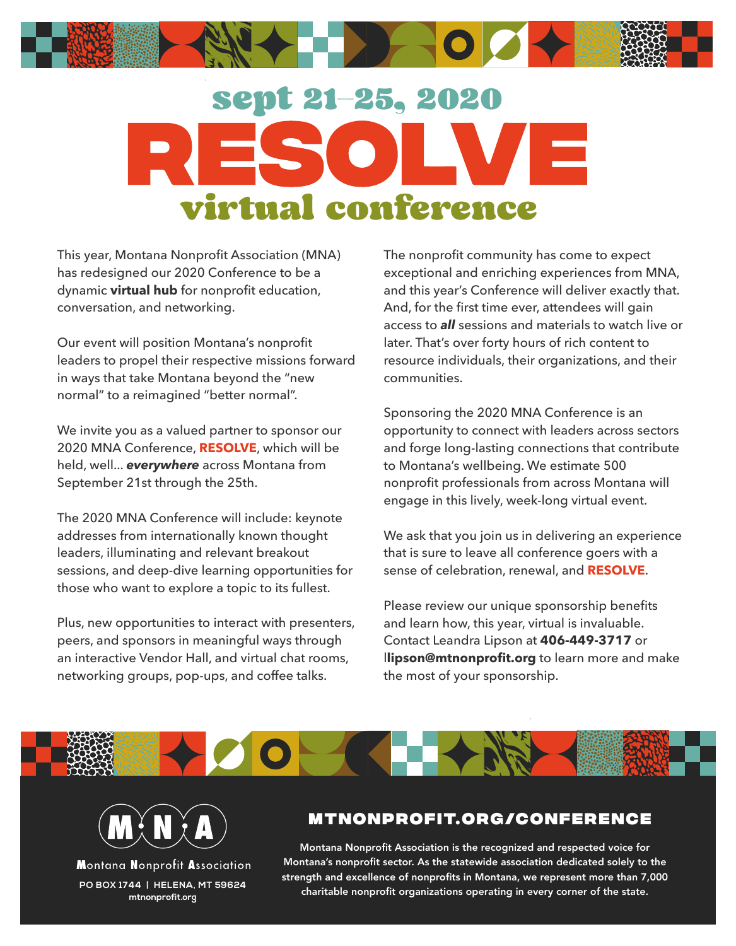

## sept 21-25, 2020 virtual conference

This year, Montana Nonprofit Association (MNA) has redesigned our 2020 Conference to be a dynamic **virtual hub** for nonprofit education, conversation, and networking.

Our event will position Montana's nonprofit leaders to propel their respective missions forward in ways that take Montana beyond the "new normal" to a reimagined "better normal".

We invite you as a valued partner to sponsor our 2020 MNA Conference, **RESOLVE**, which will be held, well... *everywhere* across Montana from September 21st through the 25th.

The 2020 MNA Conference will include: keynote addresses from internationally known thought leaders, illuminating and relevant breakout sessions, and deep-dive learning opportunities for those who want to explore a topic to its fullest.

Plus, new opportunities to interact with presenters, peers, and sponsors in meaningful ways through an interactive Vendor Hall, and virtual chat rooms, networking groups, pop-ups, and coffee talks.

The nonprofit community has come to expect exceptional and enriching experiences from MNA, and this year's Conference will deliver exactly that. And, for the first time ever, attendees will gain access to *all* sessions and materials to watch live or later. That's over forty hours of rich content to resource individuals, their organizations, and their communities.

Sponsoring the 2020 MNA Conference is an opportunity to connect with leaders across sectors and forge long-lasting connections that contribute to Montana's wellbeing. We estimate 500 nonprofit professionals from across Montana will engage in this lively, week-long virtual event.

We ask that you join us in delivering an experience that is sure to leave all conference goers with a sense of celebration, renewal, and **RESOLVE**.

Please review our unique sponsorship benefits and learn how, this year, virtual is invaluable. Contact Leandra Lipson at **406-449-3717** or l**lipson@mtnonprofit.org** to learn more and make the most of your sponsorship.



Montana Nonprofit Association **mtnonprofit.org** 

## **mtnonprof it.org/conference**

Montana Nonprofit Association is the recognized and respected voice for Montana's nonprofit sector. As the statewide association dedicated solely to the strength and excellence of nonprofits in Montana, we represent more than 7,000 charitable nonprofit organizations operating in every corner of the state. **PO BOX 1744 | HELENA, MT 59624**